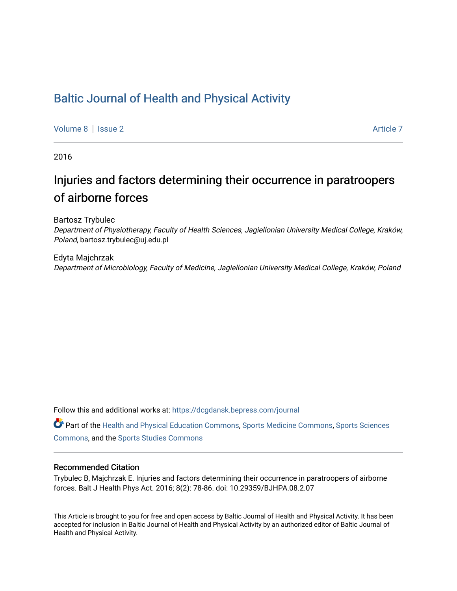## [Baltic Journal of Health and Physical Activity](https://dcgdansk.bepress.com/journal)

[Volume 8](https://dcgdansk.bepress.com/journal/vol8) | [Issue 2](https://dcgdansk.bepress.com/journal/vol8/iss2) Article 7

2016

# Injuries and factors determining their occurrence in paratroopers of airborne forces

Bartosz Trybulec

Department of Physiotherapy, Faculty of Health Sciences, Jagiellonian University Medical College, Kraków, Poland, bartosz.trybulec@uj.edu.pl

Edyta Majchrzak Department of Microbiology, Faculty of Medicine, Jagiellonian University Medical College, Kraków, Poland

Follow this and additional works at: [https://dcgdansk.bepress.com/journal](https://dcgdansk.bepress.com/journal?utm_source=dcgdansk.bepress.com%2Fjournal%2Fvol8%2Fiss2%2F7&utm_medium=PDF&utm_campaign=PDFCoverPages)

Part of the [Health and Physical Education Commons](http://network.bepress.com/hgg/discipline/1327?utm_source=dcgdansk.bepress.com%2Fjournal%2Fvol8%2Fiss2%2F7&utm_medium=PDF&utm_campaign=PDFCoverPages), [Sports Medicine Commons,](http://network.bepress.com/hgg/discipline/1331?utm_source=dcgdansk.bepress.com%2Fjournal%2Fvol8%2Fiss2%2F7&utm_medium=PDF&utm_campaign=PDFCoverPages) [Sports Sciences](http://network.bepress.com/hgg/discipline/759?utm_source=dcgdansk.bepress.com%2Fjournal%2Fvol8%2Fiss2%2F7&utm_medium=PDF&utm_campaign=PDFCoverPages) [Commons](http://network.bepress.com/hgg/discipline/759?utm_source=dcgdansk.bepress.com%2Fjournal%2Fvol8%2Fiss2%2F7&utm_medium=PDF&utm_campaign=PDFCoverPages), and the [Sports Studies Commons](http://network.bepress.com/hgg/discipline/1198?utm_source=dcgdansk.bepress.com%2Fjournal%2Fvol8%2Fiss2%2F7&utm_medium=PDF&utm_campaign=PDFCoverPages) 

#### Recommended Citation

Trybulec B, Majchrzak E. Injuries and factors determining their occurrence in paratroopers of airborne forces. Balt J Health Phys Act. 2016; 8(2): 78-86. doi: 10.29359/BJHPA.08.2.07

This Article is brought to you for free and open access by Baltic Journal of Health and Physical Activity. It has been accepted for inclusion in Baltic Journal of Health and Physical Activity by an authorized editor of Baltic Journal of Health and Physical Activity.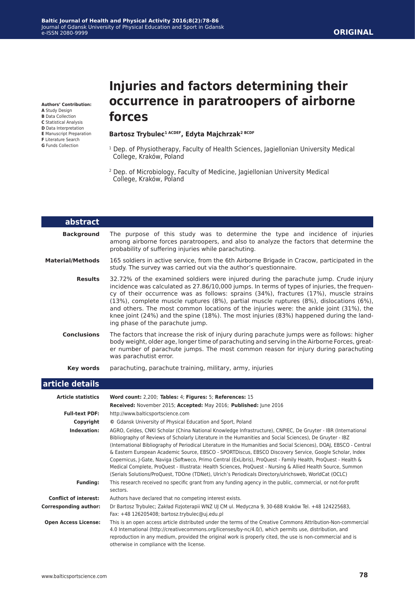#### **ORIGINAL**

**Authors' Contribution:**

- **A** Study Design
- **B** Data Collection
- **C** Statistical Analysis **D** Data Interpretation
- **E** Manuscript Preparation
- **F** Literature Search
- **G** Funds Collection

# **Injuries and factors determining their occurrence in paratroopers of airborne forces**

#### Bartosz Trybulec<sup>1 ACDEF</sup>, Edyta Majchrzak<sup>2 BCDF</sup>

- <sup>1</sup> Dep. of Physiotherapy, Faculty of Health Sciences, Jagiellonian University Medical College, Kraków, Poland
- 2 Dep. of Microbiology, Faculty of Medicine, Jagiellonian University Medical College, Kraków, Poland

| abstract                  |                                                                                                                                                                                                                                                                                                                                                                                                                                                                                                                                                                                                                                                                                                                                                                                                      |
|---------------------------|------------------------------------------------------------------------------------------------------------------------------------------------------------------------------------------------------------------------------------------------------------------------------------------------------------------------------------------------------------------------------------------------------------------------------------------------------------------------------------------------------------------------------------------------------------------------------------------------------------------------------------------------------------------------------------------------------------------------------------------------------------------------------------------------------|
| <b>Background</b>         | The purpose of this study was to determine the type and incidence of injuries<br>among airborne forces paratroopers, and also to analyze the factors that determine the<br>probability of suffering injuries while parachuting.                                                                                                                                                                                                                                                                                                                                                                                                                                                                                                                                                                      |
| <b>Material/Methods</b>   | 165 soldiers in active service, from the 6th Airborne Brigade in Cracow, participated in the<br>study. The survey was carried out via the author's questionnaire.                                                                                                                                                                                                                                                                                                                                                                                                                                                                                                                                                                                                                                    |
| <b>Results</b>            | 32.72% of the examined soldiers were injured during the parachute jump. Crude injury<br>incidence was calculated as 27.86/10,000 jumps. In terms of types of injuries, the frequen-<br>cy of their occurrence was as follows: sprains (34%), fractures (17%), muscle strains<br>(13%), complete muscle ruptures (8%), partial muscle ruptures (8%), dislocations (6%),<br>and others. The most common locations of the injuries were: the ankle joint (31%), the<br>knee joint (24%) and the spine (18%). The most injuries (83%) happened during the land-<br>ing phase of the parachute jump.                                                                                                                                                                                                      |
| <b>Conclusions</b>        | The factors that increase the risk of injury during parachute jumps were as follows: higher<br>body weight, older age, longer time of parachuting and serving in the Airborne Forces, great-<br>er number of parachute jumps. The most common reason for injury during parachuting<br>was parachutist error.                                                                                                                                                                                                                                                                                                                                                                                                                                                                                         |
| <b>Key words</b>          | parachuting, parachute training, military, army, injuries                                                                                                                                                                                                                                                                                                                                                                                                                                                                                                                                                                                                                                                                                                                                            |
| article details           |                                                                                                                                                                                                                                                                                                                                                                                                                                                                                                                                                                                                                                                                                                                                                                                                      |
| <b>Article statistics</b> | Word count: 2,200; Tables: 4; Figures: 5; References: 15<br>Received: November 2015; Accepted: May 2016; Published: June 2016                                                                                                                                                                                                                                                                                                                                                                                                                                                                                                                                                                                                                                                                        |
| <b>Full-text PDF:</b>     | http://www.balticsportscience.com                                                                                                                                                                                                                                                                                                                                                                                                                                                                                                                                                                                                                                                                                                                                                                    |
| Copyright                 | © Gdansk University of Physical Education and Sport, Poland                                                                                                                                                                                                                                                                                                                                                                                                                                                                                                                                                                                                                                                                                                                                          |
| Indexation:               | AGRO, Celdes, CNKI Scholar (China National Knowledge Infrastructure), CNPIEC, De Gruyter - IBR (International<br>Bibliography of Reviews of Scholarly Literature in the Humanities and Social Sciences), De Gruyter - IBZ<br>(International Bibliography of Periodical Literature in the Humanities and Social Sciences), DOAJ, EBSCO - Central<br>& Eastern European Academic Source, EBSCO - SPORTDiscus, EBSCO Discovery Service, Google Scholar, Index<br>Copernicus, J-Gate, Naviga (Softweco, Primo Central (ExLibris), ProQuest - Family Health, ProQuest - Health &<br>Medical Complete, ProQuest - Illustrata: Health Sciences, ProQuest - Nursing & Allied Health Source, Summon<br>(Serials Solutions/ProQuest, TDOne (TDNet), Ulrich's Periodicals Directory/ulrichsweb, WorldCat (OCLC) |
| <b>Funding:</b>           | This research received no specific grant from any funding agency in the public, commercial, or not-for-profit<br>sectors.                                                                                                                                                                                                                                                                                                                                                                                                                                                                                                                                                                                                                                                                            |

**Conflict of interest:** Authors have declared that no competing interest exists.

otherwise in compliance with the license.

| Corresponding author:       | Dr Bartosz Trybulec; Zakład Fizjoterapii WNZ UJ CM ul. Medyczna 9, 30-688 Kraków Tel. +48 124225683,<br>Fax: +48 126205408; bartosz.trybulec@uj.edu.pl |
|-----------------------------|--------------------------------------------------------------------------------------------------------------------------------------------------------|
| <b>Open Access License:</b> | This is an open access article distributed under the terms of the Creative Commons Attribution-Non-commercial                                          |
|                             | 4.0 International (http://creativecommons.org/licenses/by-nc/4.0/), which permits use, distribution, and                                               |
|                             | reproduction in any medium, provided the original work is properly cited, the use is non-commercial and is                                             |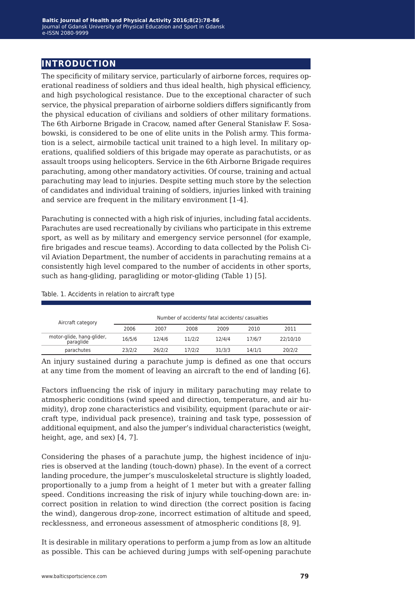## **introduction**

The specificity of military service, particularly of airborne forces, requires operational readiness of soldiers and thus ideal health, high physical efficiency, and high psychological resistance. Due to the exceptional character of such service, the physical preparation of airborne soldiers differs significantly from the physical education of civilians and soldiers of other military formations. The 6th Airborne Brigade in Cracow, named after General Stanisław F. Sosabowski, is considered to be one of elite units in the Polish army. This formation is a select, airmobile tactical unit trained to a high level. In military operations, qualified soldiers of this brigade may operate as parachutists, or as assault troops using helicopters. Service in the 6th Airborne Brigade requires parachuting, among other mandatory activities. Of course, training and actual parachuting may lead to injuries. Despite setting much store by the selection of candidates and individual training of soldiers, injuries linked with training and service are frequent in the military environment [1-4].

Parachuting is connected with a high risk of injuries, including fatal accidents. Parachutes are used recreationally by civilians who participate in this extreme sport, as well as by military and emergency service personnel (for example, fire brigades and rescue teams). According to data collected by the Polish Civil Aviation Department, the number of accidents in parachuting remains at a consistently high level compared to the number of accidents in other sports, such as hang-gliding, paragliding or motor-gliding (Table 1) [5].

#### Table. 1. Accidents in relation to aircraft type

| Aircraft category                      | Number of accidents/ fatal accidents/ casualties |        |        |        |        |          |
|----------------------------------------|--------------------------------------------------|--------|--------|--------|--------|----------|
|                                        | 2006                                             | 2007   | 2008   | 2009   | 2010   | 2011     |
| motor-glide, hang-glider,<br>paraglide | 16/5/6                                           | 12/4/6 | 11/2/2 | 12/4/4 | 17/6/7 | 22/10/10 |
| parachutes                             | 23/2/2                                           | 26/2/2 | 17/2/2 | 31/3/3 | 14/1/1 | 20/2/2   |

An injury sustained during a parachute jump is defined as one that occurs at any time from the moment of leaving an aircraft to the end of landing [6].

Factors influencing the risk of injury in military parachuting may relate to atmospheric conditions (wind speed and direction, temperature, and air humidity), drop zone characteristics and visibility, equipment (parachute or aircraft type, individual pack presence), training and task type, possession of additional equipment, and also the jumper's individual characteristics (weight, height, age, and sex) [4, 7].

Considering the phases of a parachute jump, the highest incidence of injuries is observed at the landing (touch-down) phase). In the event of a correct landing procedure, the jumper's musculoskeletal structure is slightly loaded, proportionally to a jump from a height of 1 meter but with a greater falling speed. Conditions increasing the risk of injury while touching-down are: incorrect position in relation to wind direction (the correct position is facing the wind), dangerous drop-zone, incorrect estimation of altitude and speed, recklessness, and erroneous assessment of atmospheric conditions [8, 9].

It is desirable in military operations to perform a jump from as low an altitude as possible. This can be achieved during jumps with self-opening parachute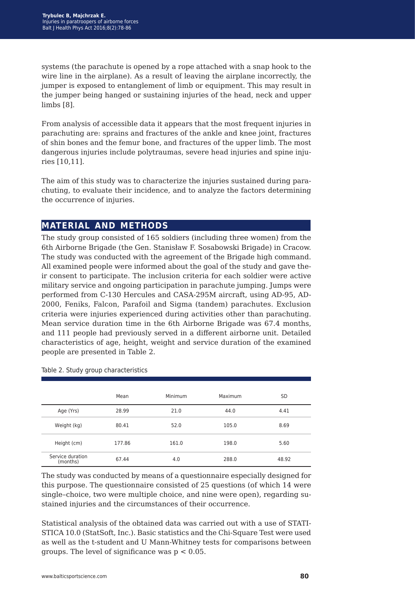systems (the parachute is opened by a rope attached with a snap hook to the wire line in the airplane). As a result of leaving the airplane incorrectly, the jumper is exposed to entanglement of limb or equipment. This may result in the jumper being hanged or sustaining injuries of the head, neck and upper limbs [8].

From analysis of accessible data it appears that the most frequent injuries in parachuting are: sprains and fractures of the ankle and knee joint, fractures of shin bones and the femur bone, and fractures of the upper limb. The most dangerous injuries include polytraumas, severe head injuries and spine injuries [10,11].

The aim of this study was to characterize the injuries sustained during parachuting, to evaluate their incidence, and to analyze the factors determining the occurrence of injuries.

## **material and methods**

The study group consisted of 165 soldiers (including three women) from the 6th Airborne Brigade (the Gen. Stanisław F. Sosabowski Brigade) in Cracow. The study was conducted with the agreement of the Brigade high command. All examined people were informed about the goal of the study and gave their consent to participate. The inclusion criteria for each soldier were active military service and ongoing participation in parachute jumping. Jumps were performed from C-130 Hercules and CASA-295M aircraft, using AD-95, AD-2000, Feniks, Falcon, Parafoil and Sigma (tandem) parachutes. Exclusion criteria were injuries experienced during activities other than parachuting. Mean service duration time in the 6th Airborne Brigade was 67.4 months, and 111 people had previously served in a different airborne unit. Detailed characteristics of age, height, weight and service duration of the examined people are presented in Table 2.

|                              | Mean   | Minimum | Maximum | <b>SD</b> |
|------------------------------|--------|---------|---------|-----------|
| Age (Yrs)                    | 28.99  | 21.0    | 44.0    | 4.41      |
| Weight (kg)                  | 80.41  | 52.0    | 105.0   | 8.69      |
| Height (cm)                  | 177.86 | 161.0   | 198.0   | 5.60      |
| Service duration<br>(months) | 67.44  | 4.0     | 288.0   | 48.92     |

Table 2. Study group characteristics

The study was conducted by means of a questionnaire especially designed for this purpose. The questionnaire consisted of 25 questions (of which 14 were single–choice, two were multiple choice, and nine were open), regarding sustained injuries and the circumstances of their occurrence.

Statistical analysis of the obtained data was carried out with a use of STATI-STICA 10.0 (StatSoft, Inc.). Basic statistics and the Chi-Square Test were used as well as the t-student and U Mann-Whitney tests for comparisons between groups. The level of significance was  $p < 0.05$ .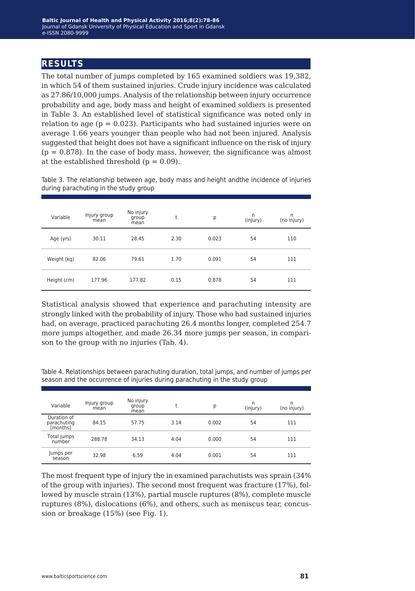## **results**

The total number of jumps completed by 165 examined soldiers was 19,382, in which 54 of them sustained injuries. Crude injury incidence was calculated as 27.86/10,000 jumps. Analysis of the relationship between injury occurrence probability and age, body mass and height of examined soldiers is presented in Table 3. An established level of statistical significance was noted only in relation to age ( $p = 0.023$ ). Participants who had sustained injuries were on average 1.66 years younger than people who had not been injured. Analysis suggested that height does not have a significant influence on the risk of injury  $(p = 0.878)$ . In the case of body mass, however, the significance was almost at the established threshold  $(p = 0.09)$ .

Table 3. The relationship between age, body mass and height andthe incidence of injuries during parachuting in the study group

| Variable    | Injury group<br>mean | No injury<br>group<br>mean | t    | р     | n<br>(injury) | n<br>(no injury) |
|-------------|----------------------|----------------------------|------|-------|---------------|------------------|
| Age (yrs)   | 30.11                | 28.45                      | 2.30 | 0.023 | 54            | 110              |
| Weight (kg) | 82.06                | 79.61                      | 1.70 | 0.091 | 54            | 111              |
| Height (cm) | 177.96               | 177.82                     | 0.15 | 0.878 | 54            | 111              |

Statistical analysis showed that experience and parachuting intensity are strongly linked with the probability of injury. Those who had sustained injuries had, on average, practiced parachuting 26.4 months longer, completed 254.7 more jumps altogether, and made 26.34 more jumps per season, in comparison to the group with no injuries (Tab. 4).

Table 4. Relationships between parachuting duration, total jumps, and number of jumps per season and the occurrence of injuries during parachuting in the study group

| Variable                               | Injury group<br>mean | No injury<br>group<br>mean |      | p     | n<br>(injury) | n<br>(no injury) |
|----------------------------------------|----------------------|----------------------------|------|-------|---------------|------------------|
| Duration of<br>parachuting<br>[months] | 84.15                | 57.75                      | 3.14 | 0.002 | 54            | 111              |
| Total jumps<br>number                  | 288.78               | 34.13                      | 4.04 | 0.000 | 54            | 111              |
| Jumps per<br>season                    | 32.98                | 6.59                       | 4.04 | 0.001 | 54            | 111              |

The most frequent type of injury the in examined parachutists was sprain (34% of the group with injuries). The second most frequent was fracture (17%), followed by muscle strain (13%), partial muscle ruptures (8%), complete muscle ruptures (8%), dislocations (6%), and others, such as meniscus tear, concussion or breakage (15%) (see Fig. 1).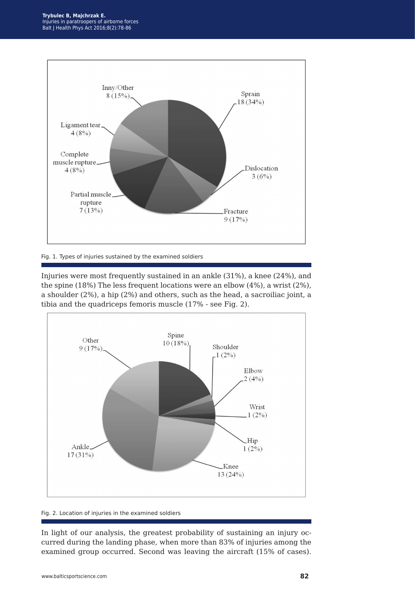

Fig. 1. Types of injuries sustained by the examined soldiers

Injuries were most frequently sustained in an ankle (31%), a knee (24%), and the spine (18%) The less frequent locations were an elbow (4%), a wrist (2%), a shoulder (2%), a hip (2%) and others, such as the head, a sacroiliac joint, a tibia and the quadriceps femoris muscle (17% - see Fig. 2).



#### Fig. 2. Location of injuries in the examined soldiers

In light of our analysis, the greatest probability of sustaining an injury occurred during the landing phase, when more than 83% of injuries among the examined group occurred. Second was leaving the aircraft (15% of cases).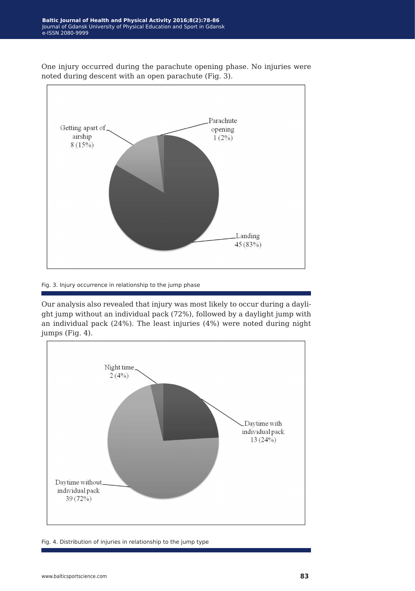One injury occurred during the parachute opening phase. No injuries were noted during descent with an open parachute (Fig. 3).



#### Fig. 3. Injury occurrence in relationship to the jump phase

Our analysis also revealed that injury was most likely to occur during a daylight jump without an individual pack (72%), followed by a daylight jump with an individual pack (24%). The least injuries (4%) were noted during night jumps (Fig. 4).



Fig. 4. Distribution of injuries in relationship to the jump type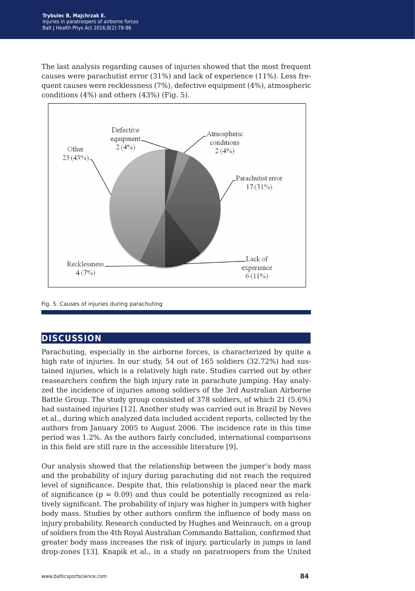The last analysis regarding causes of injuries showed that the most frequent causes were parachutist error (31%) and lack of experience (11%). Less frequent causes were recklessness (7%), defective equipment (4%), atmospheric conditions (4%) and others (43%) (Fig. 5).



Fig. 5. Causes of injuries during parachuting

## **discussion**

Parachuting, especially in the airborne forces, is characterized by quite a high rate of injuries. In our study, 54 out of 165 soldiers (32.72%) had sustained injuries, which is a relatively high rate. Studies carried out by other reasearchers confirm the high injury rate in parachute jumping. Hay analyzed the incidence of injuries among soldiers of the 3rd Australian Airborne Battle Group. The study group consisted of 378 soldiers, of which 21 (5.6%) had sustained injuries [12]. Another study was carried out in Brazil by Neves et al., during which analyzed data included accident reports, collected by the authors from January 2005 to August 2006. The incidence rate in this time period was 1.2%. As the authors fairly concluded, international comparisons in this field are still rare in the accessible literature [9].

Our analysis showed that the relationship between the jumper's body mass and the probability of injury during parachuting did not reach the required level of significance. Despite that, this relationship is placed near the mark of significance  $(p = 0.09)$  and thus could be potentially recognized as relatively significant. The probability of injury was higher in jumpers with higher body mass. Studies by other authors confirm the influence of body mass on injury probability. Research conducted by Hughes and Weinrauch, on a group of soldiers from the 4th Royal Australian Commando Battalion, confirmed that greater body mass increases the risk of injury, particularly in jumps in land drop-zones [13]. Knapik et al., in a study on paratroopers from the United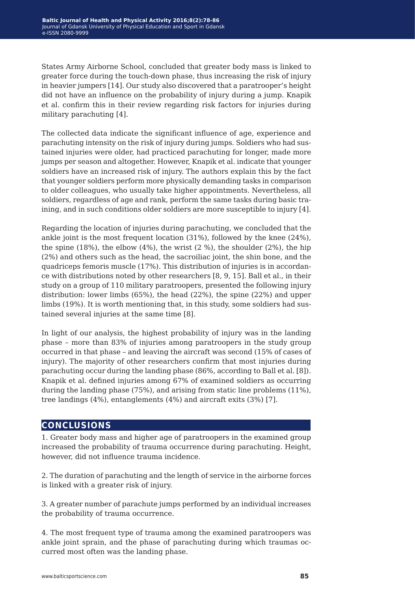States Army Airborne School, concluded that greater body mass is linked to greater force during the touch-down phase, thus increasing the risk of injury in heavier jumpers [14]. Our study also discovered that a paratrooper's height did not have an influence on the probability of injury during a jump. Knapik et al. confirm this in their review regarding risk factors for injuries during military parachuting [4].

The collected data indicate the significant influence of age, experience and parachuting intensity on the risk of injury during jumps. Soldiers who had sustained injuries were older, had practiced parachuting for longer, made more jumps per season and altogether. However, Knapik et al. indicate that younger soldiers have an increased risk of injury. The authors explain this by the fact that younger soldiers perform more physically demanding tasks in comparison to older colleagues, who usually take higher appointments. Nevertheless, all soldiers, regardless of age and rank, perform the same tasks during basic training, and in such conditions older soldiers are more susceptible to injury [4].

Regarding the location of injuries during parachuting, we concluded that the ankle joint is the most frequent location (31%), followed by the knee (24%), the spine  $(18%)$ , the elbow  $(4%)$ , the wrist  $(2%)$ , the shoulder  $(2%)$ , the hip (2%) and others such as the head, the sacroiliac joint, the shin bone, and the quadriceps femoris muscle (17%). This distribution of injuries is in accordance with distributions noted by other researchers [8, 9, 15]. Ball et al., in their study on a group of 110 military paratroopers, presented the following injury distribution: lower limbs (65%), the head (22%), the spine (22%) and upper limbs (19%). It is worth mentioning that, in this study, some soldiers had sustained several injuries at the same time [8].

In light of our analysis, the highest probability of injury was in the landing phase – more than 83% of injuries among paratroopers in the study group occurred in that phase – and leaving the aircraft was second (15% of cases of injury). The majority of other researchers confirm that most injuries during parachuting occur during the landing phase (86%, according to Ball et al. [8]). Knapik et al. defined injuries among 67% of examined soldiers as occurring during the landing phase (75%), and arising from static line problems (11%), tree landings (4%), entanglements (4%) and aircraft exits (3%) [7].

### **conclusions**

1. Greater body mass and higher age of paratroopers in the examined group increased the probability of trauma occurrence during parachuting. Height, however, did not influence trauma incidence.

2. The duration of parachuting and the length of service in the airborne forces is linked with a greater risk of injury.

3. A greater number of parachute jumps performed by an individual increases the probability of trauma occurrence.

4. The most frequent type of trauma among the examined paratroopers was ankle joint sprain, and the phase of parachuting during which traumas occurred most often was the landing phase.